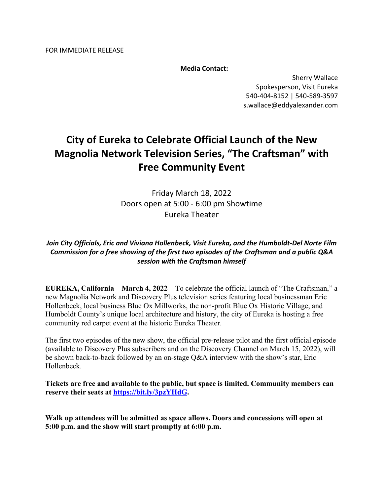FOR IMMEDIATE RELEASE

**Media Contact:**

Sherry Wallace Spokesperson, Visit Eureka 540-404-8152 | 540-589-3597 s.wallace@eddyalexander.com

# **City of Eureka to Celebrate Official Launch of the New Magnolia Network Television Series, "The Craftsman" with Free Community Event**

Friday March 18, 2022 Doors open at 5:00 - 6:00 pm Showtime Eureka Theater

# *Join City Officials, Eric and Viviana Hollenbeck, Visit Eureka, and the Humboldt-Del Norte Film Commission for a free showing of the first two episodes of the Craftsman and a public Q&A session with the Craftsman himself*

**EUREKA, California – March 4, 2022** – To celebrate the official launch of "The Craftsman," a new Magnolia Network and Discovery Plus television series featuring local businessman Eric Hollenbeck, local business Blue Ox Millworks, the non-profit Blue Ox Historic Village, and Humboldt County's unique local architecture and history, the city of Eureka is hosting a free community red carpet event at the historic Eureka Theater.

The first two episodes of the new show, the official pre-release pilot and the first official episode (available to Discovery Plus subscribers and on the Discovery Channel on March 15, 2022), will be shown back-to-back followed by an on-stage Q&A interview with the show's star, Eric Hollenbeck.

**Tickets are free and available to the public, but space is limited. Community members can reserve their seats at https://bit.ly/3pzYHdG.**

**Walk up attendees will be admitted as space allows. Doors and concessions will open at 5:00 p.m. and the show will start promptly at 6:00 p.m.**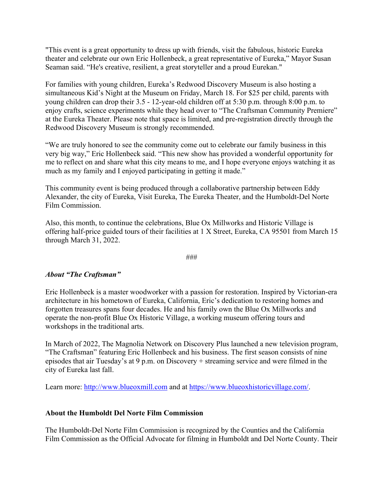"This event is a great opportunity to dress up with friends, visit the fabulous, historic Eureka theater and celebrate our own Eric Hollenbeck, a great representative of Eureka," Mayor Susan Seaman said. "He's creative, resilient, a great storyteller and a proud Eurekan."

For families with young children, Eureka's Redwood Discovery Museum is also hosting a simultaneous Kid's Night at the Museum on Friday, March 18. For \$25 per child, parents with young children can drop their 3.5 - 12-year-old children off at 5:30 p.m. through 8:00 p.m. to enjoy crafts, science experiments while they head over to "The Craftsman Community Premiere" at the Eureka Theater. Please note that space is limited, and pre-registration directly through the Redwood Discovery Museum is strongly recommended.

"We are truly honored to see the community come out to celebrate our family business in this very big way," Eric Hollenbeck said. "This new show has provided a wonderful opportunity for me to reflect on and share what this city means to me, and I hope everyone enjoys watching it as much as my family and I enjoyed participating in getting it made."

This community event is being produced through a collaborative partnership between Eddy Alexander, the city of Eureka, Visit Eureka, The Eureka Theater, and the Humboldt-Del Norte Film Commission.

Also, this month, to continue the celebrations, Blue Ox Millworks and Historic Village is offering half-price guided tours of their facilities at 1 X Street, Eureka, CA 95501 from March 15 through March 31, 2022.

###

# *About "The Craftsman"*

Eric Hollenbeck is a master woodworker with a passion for restoration. Inspired by Victorian-era architecture in his hometown of Eureka, California, Eric's dedication to restoring homes and forgotten treasures spans four decades. He and his family own the Blue Ox Millworks and operate the non-profit Blue Ox Historic Village, a working museum offering tours and workshops in the traditional arts.

In March of 2022, The Magnolia Network on Discovery Plus launched a new television program, "The Craftsman" featuring Eric Hollenbeck and his business. The first season consists of nine episodes that air Tuesday's at 9 p.m. on Discovery + streaming service and were filmed in the city of Eureka last fall.

Learn more: http://www.blueoxmill.com and at https://www.blueoxhistoricvillage.com/.

# **About the Humboldt Del Norte Film Commission**

The Humboldt-Del Norte Film Commission is recognized by the Counties and the California Film Commission as the Official Advocate for filming in Humboldt and Del Norte County. Their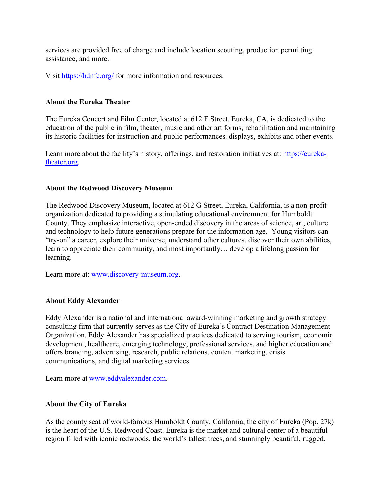services are provided free of charge and include location scouting, production permitting assistance, and more.

Visit https://hdnfc.org/ for more information and resources.

# **About the Eureka Theater**

The Eureka Concert and Film Center, located at 612 F Street, Eureka, CA, is dedicated to the education of the public in film, theater, music and other art forms, rehabilitation and maintaining its historic facilities for instruction and public performances, displays, exhibits and other events.

Learn more about the facility's history, offerings, and restoration initiatives at: https://eurekatheater.org.

# **About the Redwood Discovery Museum**

The Redwood Discovery Museum, located at 612 G Street, Eureka, California, is a non-profit organization dedicated to providing a stimulating educational environment for Humboldt County. They emphasize interactive, open-ended discovery in the areas of science, art, culture and technology to help future generations prepare for the information age. Young visitors can "try-on" a career, explore their universe, understand other cultures, discover their own abilities, learn to appreciate their community, and most importantly… develop a lifelong passion for learning.

Learn more at: www.discovery-museum.org.

# **About Eddy Alexander**

Eddy Alexander is a national and international award-winning marketing and growth strategy consulting firm that currently serves as the City of Eureka's Contract Destination Management Organization. Eddy Alexander has specialized practices dedicated to serving tourism, economic development, healthcare, emerging technology, professional services, and higher education and offers branding, advertising, research, public relations, content marketing, crisis communications, and digital marketing services.

Learn more at www.eddyalexander.com.

# **About the City of Eureka**

As the county seat of world-famous Humboldt County, California, the city of Eureka (Pop. 27k) is the heart of the U.S. Redwood Coast. Eureka is the market and cultural center of a beautiful region filled with iconic redwoods, the world's tallest trees, and stunningly beautiful, rugged,